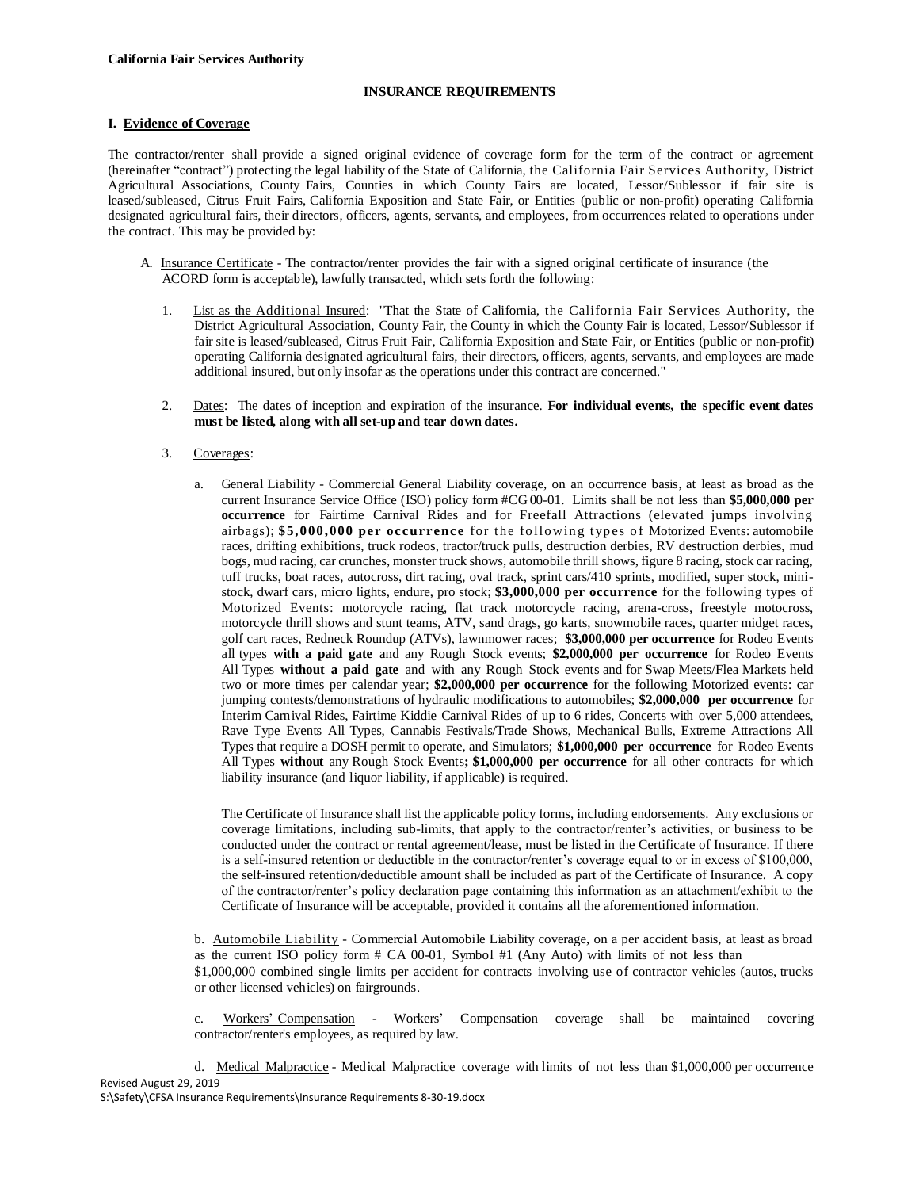### **INSURANCE REQUIREMENTS**

# **I. Evidence of Coverage**

The contractor/renter shall provide a signed original evidence of coverage form for the term of the contract or agreement (hereinafter "contract") protecting the legal liability of the State of California, the California Fair Services Authority, District Agricultural Associations, County Fairs, Counties in which County Fairs are located, Lessor/Sublessor if fair site is leased/subleased, Citrus Fruit Fairs, California Exposition and State Fair, or Entities (public or non-profit) operating California designated agricultural fairs, their directors, officers, agents, servants, and employees, from occurrences related to operations under the contract. This may be provided by:

- A. Insurance Certificate The contractor/renter provides the fair with a signed original certificate of insurance (the ACORD form is acceptable), lawfully transacted, which sets forth the following:
	- 1. List as the Additional Insured: "That the State of California, the California Fair Services Authority, the District Agricultural Association, County Fair, the County in which the County Fair is located, Lessor/Sublessor if fair site is leased/subleased, Citrus Fruit Fair, California Exposition and State Fair, or Entities (public or non-profit) operating California designated agricultural fairs, their directors, officers, agents, servants, and employees are made additional insured, but only insofar as the operations under this contract are concerned."
	- 2. Dates: The dates of inception and expiration of the insurance. **For individual events, the specific event dates must be listed, along with all set-up and tear down dates.**
	- 3. Coverages:
		- a. General Liability Commercial General Liability coverage, on an occurrence basis, at least as broad as the current Insurance Service Office (ISO) policy form #CG 00-01. Limits shall be not less than **\$5,000,000 per occurrence** for Fairtime Carnival Rides and for Freefall Attractions (elevated jumps involving airbags); **\$5,000,000 per occurrence** for the following types of Motorized Events: automobile races, drifting exhibitions, truck rodeos, tractor/truck pulls, destruction derbies, RV destruction derbies, mud bogs, mud racing, car crunches, monster truck shows, automobile thrill shows, figure 8 racing, stock car racing, tuff trucks, boat races, autocross, dirt racing, oval track, sprint cars/410 sprints, modified, super stock, ministock, dwarf cars, micro lights, endure, pro stock; **\$3,000,000 per occurrence** for the following types of Motorized Events: motorcycle racing, flat track motorcycle racing, arena-cross, freestyle motocross, motorcycle thrill shows and stunt teams, ATV, sand drags, go karts, snowmobile races, quarter midget races, golf cart races, Redneck Roundup (ATVs), lawnmower races; **\$3,000,000 per occurrence** for Rodeo Events all types **with a paid gate** and any Rough Stock events; **\$2,000,000 per occurrence** for Rodeo Events All Types **without a paid gate** and with any Rough Stock events and for Swap Meets/Flea Markets held two or more times per calendar year; **\$2,000,000 per occurrence** for the following Motorized events: car jumping contests/demonstrations of hydraulic modifications to automobiles; **\$2,000,000 per occurrence** for Interim Carnival Rides, Fairtime Kiddie Carnival Rides of up to 6 rides, Concerts with over 5,000 attendees, Rave Type Events All Types, Cannabis Festivals/Trade Shows, Mechanical Bulls, Extreme Attractions All Types that require a DOSH permit to operate, and Simulators; **\$1,000,000 per occurrence** for Rodeo Events All Types **without** any Rough Stock Events**; \$1,000,000 per occurrence** for all other contracts for which liability insurance (and liquor liability, if applicable) is required.

The Certificate of Insurance shall list the applicable policy forms, including endorsements. Any exclusions or coverage limitations, including sub-limits, that apply to the contractor/renter's activities, or business to be conducted under the contract or rental agreement/lease, must be listed in the Certificate of Insurance. If there is a self-insured retention or deductible in the contractor/renter's coverage equal to or in excess of \$100,000, the self-insured retention/deductible amount shall be included as part of the Certificate of Insurance. A copy of the contractor/renter's policy declaration page containing this information as an attachment/exhibit to the Certificate of Insurance will be acceptable, provided it contains all the aforementioned information.

b. Automobile Liability - Commercial Automobile Liability coverage, on a per accident basis, at least as broad as the current ISO policy form # CA 00-01, Symbol #1 (Any Auto) with limits of not less than

\$1,000,000 combined single limits per accident for contracts involving use of contractor vehicles (autos, trucks or other licensed vehicles) on fairgrounds.

c. Workers' Compensation - Workers' Compensation coverage shall be maintained covering contractor/renter's employees, as required by law.

Revised August 29, 2019 d. Medical Malpractice - Medical Malpractice coverage with limits of not less than \$1,000,000 per occurrence

S:\Safety\CFSA Insurance Requirements\Insurance Requirements 8-30-19.docx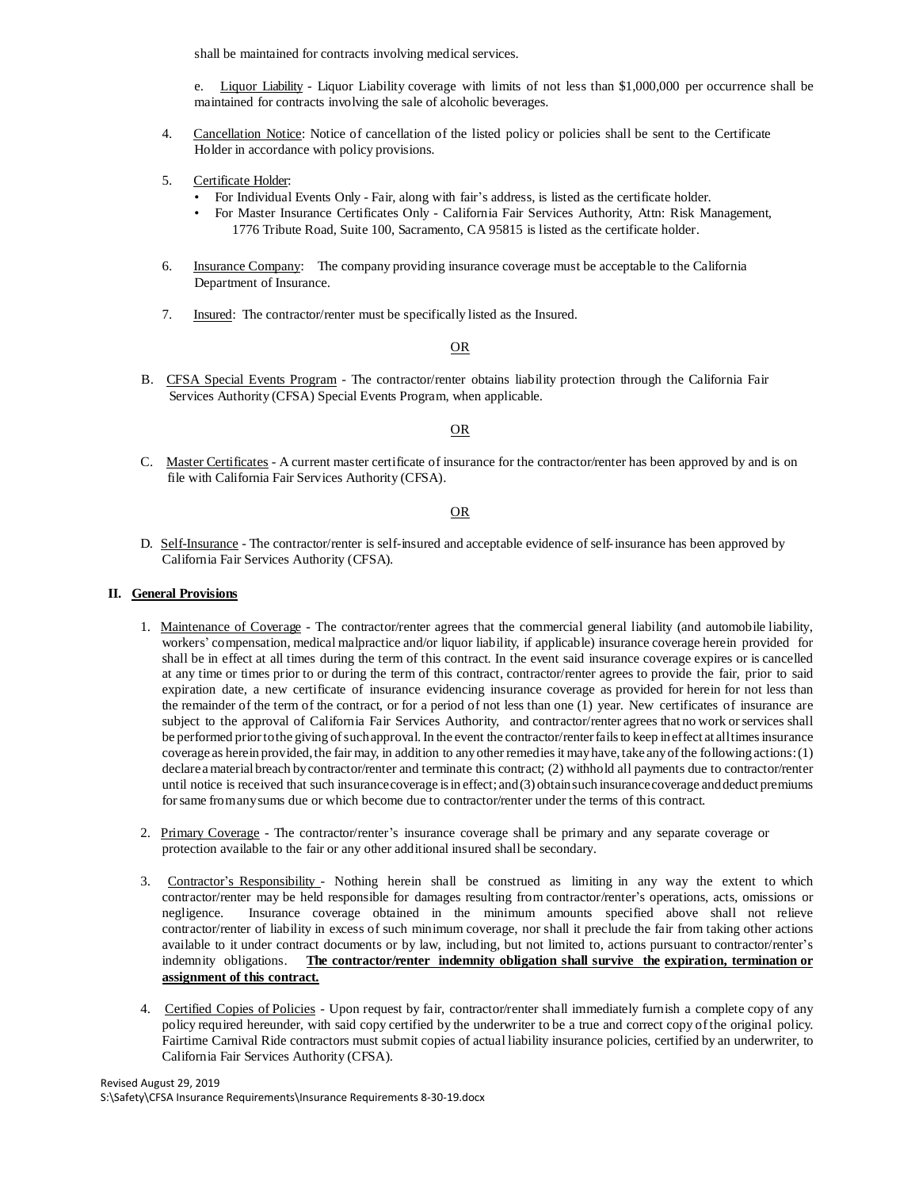shall be maintained for contracts involving medical services.

- e. Liquor Liability Liquor Liability coverage with limits of not less than \$1,000,000 per occurrence shall be maintained for contracts involving the sale of alcoholic beverages.
- 4. Cancellation Notice: Notice of cancellation of the listed policy or policies shall be sent to the Certificate Holder in accordance with policy provisions.
- 5. Certificate Holder:
	- For Individual Events Only Fair, along with fair's address, is listed as the certificate holder.
	- For Master Insurance Certificates Only California Fair Services Authority, Attn: Risk Management, 1776 Tribute Road, Suite 100, Sacramento, CA 95815 is listed as the certificate holder.
- 6. Insurance Company: The company providing insurance coverage must be acceptable to the California Department of Insurance.
- 7. Insured: The contractor/renter must be specifically listed as the Insured.

### OR

B. CFSA Special Events Program - The contractor/renter obtains liability protection through the California Fair Services Authority (CFSA) Special Events Program, when applicable.

# OR

C. Master Certificates - A current master certificate of insurance for the contractor/renter has been approved by and is on file with California Fair Services Authority (CFSA).

## OR

D. Self-Insurance - The contractor/renter is self-insured and acceptable evidence of self-insurance has been approved by California Fair Services Authority (CFSA).

#### **II. General Provisions**

- 1. Maintenance of Coverage The contractor/renter agrees that the commercial general liability (and automobile liability, workers' compensation, medical malpractice and/or liquor liability, if applicable) insurance coverage herein provided for shall be in effect at all times during the term of this contract. In the event said insurance coverage expires or is cancelled at any time or times prior to or during the term of this contract, contractor/renter agrees to provide the fair, prior to said expiration date, a new certificate of insurance evidencing insurance coverage as provided for herein for not less than the remainder of the term of the contract, or for a period of not less than one (1) year. New certificates of insurance are subject to the approval of California Fair Services Authority, and contractor/renter agrees that no work or services shall be performed prior to the giving of such approval. In the event the contractor/renter fails to keep in effect at all times insurance coverage as herein provided,the fair may, in addition to anyother remedies it mayhave,take anyofthe following actions:(1) declare a material breach by contractor/renter and terminate this contract; (2) withhold all payments due to contractor/renter until notice is received that such insurance coverage is in effect; and (3) obtain such insurance coverage and deduct premiums forsame fromanysums due or which become due to contractor/renter under the terms of this contract.
- 2. Primary Coverage The contractor/renter's insurance coverage shall be primary and any separate coverage or protection available to the fair or any other additional insured shall be secondary.
- 3. Contractor's Responsibility Nothing herein shall be construed as limiting in any way the extent to which contractor/renter may be held responsible for damages resulting from contractor/renter's operations, acts, omissions or negligence. Insurance coverage obtained in the minimum amounts specified above shall not relieve contractor/renter of liability in excess of such minimum coverage, nor shall it preclude the fair from taking other actions available to it under contract documents or by law, including, but not limited to, actions pursuant to contractor/renter's indemnity obligations. **The contractor/renter indemnity obligation shall survive the expiration, termination or assignment of this contract.**
- 4. Certified Copies of Policies Upon request by fair, contractor/renter shall immediately furnish a complete copy of any policy required hereunder, with said copy certified by the underwriter to be a true and correct copy ofthe original policy. Fairtime Carnival Ride contractors must submit copies of actual liability insurance policies, certified by an underwriter, to California Fair Services Authority (CFSA).